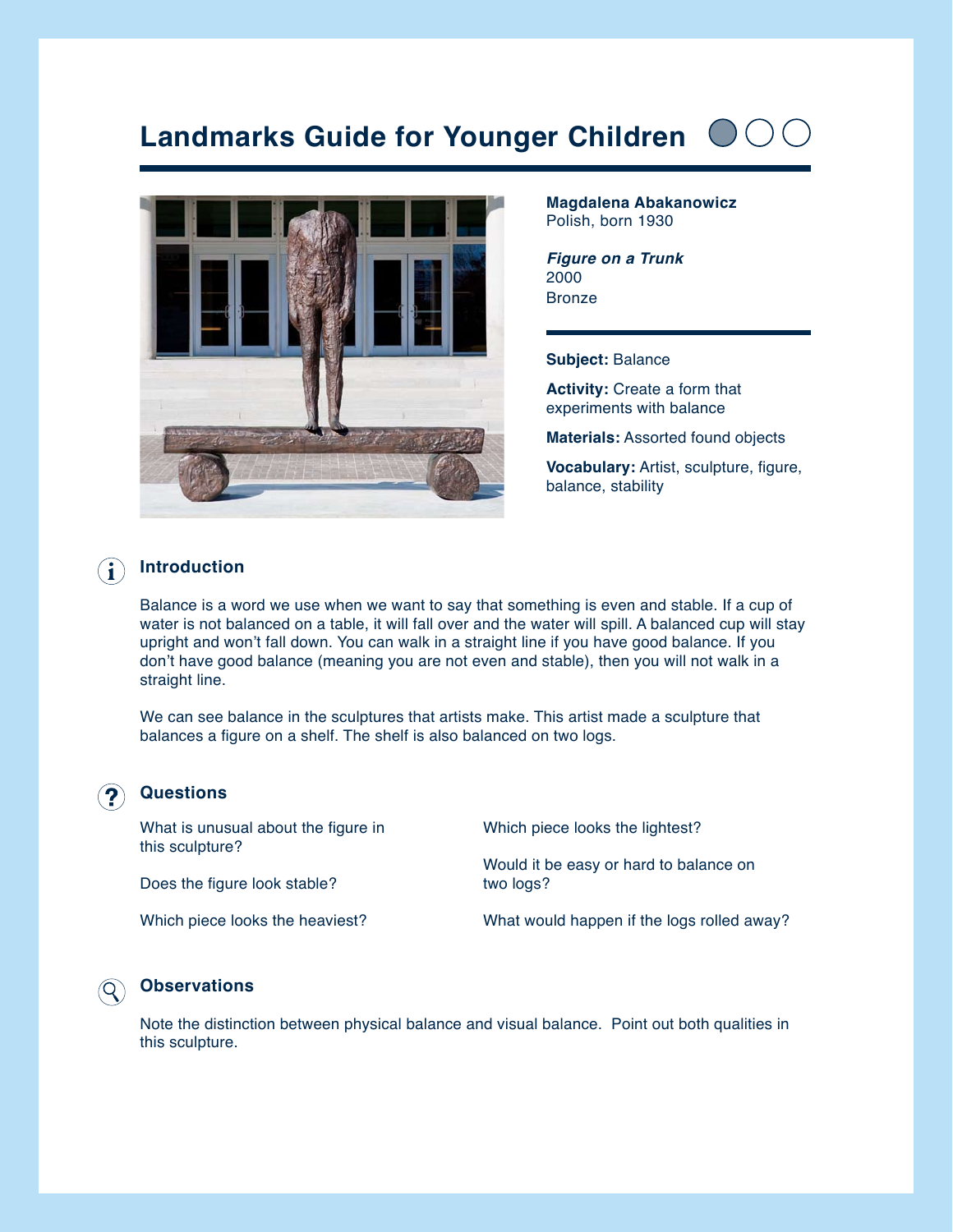# **Landmarks Guide for Younger Children**



**Magdalena Abakanowicz** Polish, born 1930

*Figure on a Trunk* 2000 **Bronze** 

#### **Subject:** Balance

**Activity:** Create a form that experiments with balance

**Materials:** Assorted found objects

**Vocabulary:** Artist, sculpture, figure, balance, stability

#### **Introduction** Ĭ.

Balance is a word we use when we want to say that something is even and stable. If a cup of water is not balanced on a table, it will fall over and the water will spill. A balanced cup will stay upright and won't fall down. You can walk in a straight line if you have good balance. If you don't have good balance (meaning you are not even and stable), then you will not walk in a straight line.

We can see balance in the sculptures that artists make. This artist made a sculpture that balances a figure on a shelf. The shelf is also balanced on two logs.

#### **Questions**

What is unusual about the figure in this sculpture? Does the figure look stable? Which piece looks the heaviest? Which piece looks the lightest? Would it be easy or hard to balance on two logs? What would happen if the logs rolled away?

### **Observations**

Note the distinction between physical balance and visual balance. Point out both qualities in this sculpture.